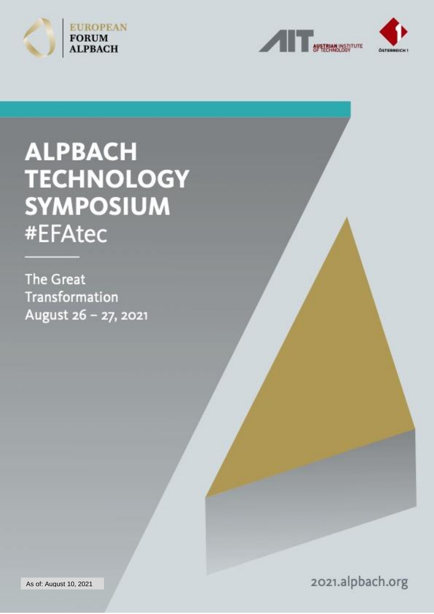



# **ALPBACH TECHNOLOGY SYMPOSIUM** #EFAtec

The Great Transformation August 26 - 27, 2021

As of: August 10, 2021

2021.alpbach.org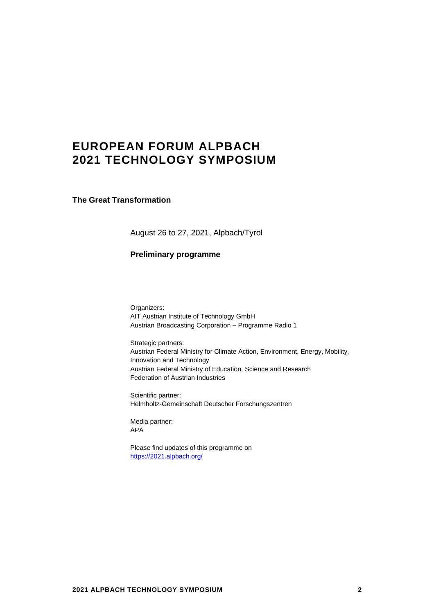# **EUROPEAN FORUM ALPBACH 2021 TECHNOLOGY SYMPOSIUM**

**The Great Transformation**

August 26 to 27, 2021, Alpbach/Tyrol

## **Preliminary programme**

Organizers: AIT Austrian Institute of Technology GmbH Austrian Broadcasting Corporation – Programme Radio 1

Strategic partners: Austrian Federal Ministry for Climate Action, Environment, Energy, Mobility, Innovation and Technology Austrian Federal Ministry of Education, Science and Research Federation of Austrian Industries

Scientific partner: Helmholtz-Gemeinschaft Deutscher Forschungszentren

Media partner: APA

Please find updates of this programme on <https://2021.alpbach.org/>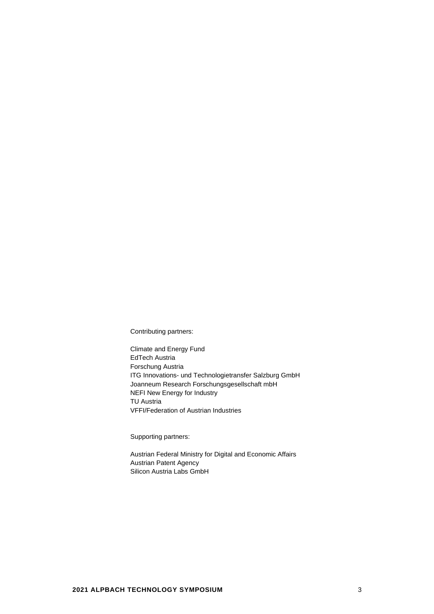Contributing partners:

Climate and Energy Fund EdTech Austria Forschung Austria ITG Innovations- und Technologietransfer Salzburg GmbH Joanneum Research Forschungsgesellschaft mbH NEFI New Energy for Industry TU Austria VFFI/Federation of Austrian Industries

Supporting partners:

Austrian Federal Ministry for Digital and Economic Affairs Austrian Patent Agency Silicon Austria Labs GmbH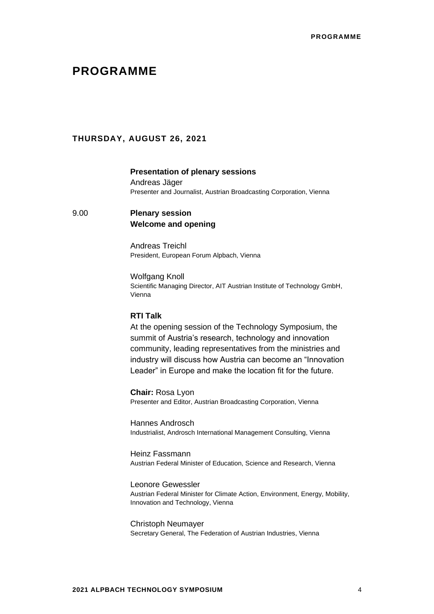# **PROGRAMME**

## **THURSDAY, AUGUST 26, 2021**

## **Presentation of plenary sessions**

Andreas Jäger Presenter and Journalist, Austrian Broadcasting Corporation, Vienna

## 9.00 **Plenary session Welcome and opening**

Andreas Treichl President, European Forum Alpbach, Vienna

Wolfgang Knoll Scientific Managing Director, AIT Austrian Institute of Technology GmbH, Vienna

## **RTI Talk**

At the opening session of the Technology Symposium, the summit of Austria's research, technology and innovation community, leading representatives from the ministries and industry will discuss how Austria can become an "Innovation Leader" in Europe and make the location fit for the future.

**Chair:** Rosa Lyon Presenter and Editor, Austrian Broadcasting Corporation, Vienna

Hannes Androsch Industrialist, Androsch International Management Consulting, Vienna

Heinz Fassmann Austrian Federal Minister of Education, Science and Research, Vienna

Leonore Gewessler Austrian Federal Minister for Climate Action, Environment, Energy, Mobility, Innovation and Technology, Vienna

Christoph Neumayer Secretary General, The Federation of Austrian Industries, Vienna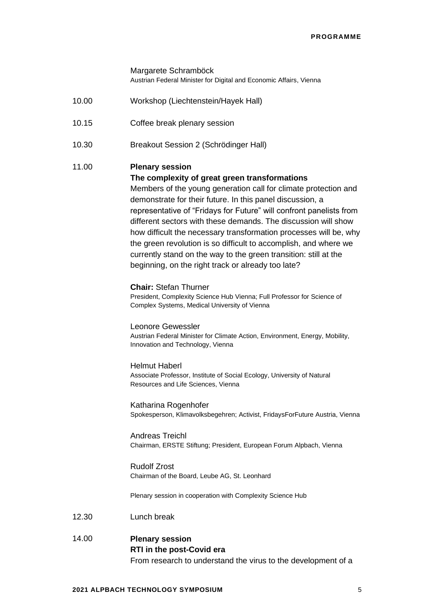#### **PROGRAMME**

Margarete Schramböck Austrian Federal Minister for Digital and Economic Affairs, Vienna

- 10.00 Workshop (Liechtenstein/Hayek Hall)
- 10.15 Coffee break plenary session
- 10.30 Breakout Session 2 (Schrödinger Hall)

## 11.00 **Plenary session**

## **The complexity of great green transformations**

Members of the young generation call for climate protection and demonstrate for their future. In this panel discussion, a representative of "Fridays for Future" will confront panelists from different sectors with these demands. The discussion will show how difficult the necessary transformation processes will be, why the green revolution is so difficult to accomplish, and where we currently stand on the way to the green transition: still at the beginning, on the right track or already too late?

## **Chair:** Stefan Thurner

President, Complexity Science Hub Vienna; Full Professor for Science of Complex Systems, Medical University of Vienna

#### Leonore Gewessler

Austrian Federal Minister for Climate Action, Environment, Energy, Mobility, Innovation and Technology, Vienna

## Helmut Haberl

Associate Professor, Institute of Social Ecology, University of Natural Resources and Life Sciences, Vienna

Katharina Rogenhofer

Spokesperson, Klimavolksbegehren; Activist, FridaysForFuture Austria, Vienna

Andreas Treichl Chairman, ERSTE Stiftung; President, European Forum Alpbach, Vienna

#### Rudolf Zrost

Chairman of the Board, Leube AG, St. Leonhard

Plenary session in cooperation with Complexity Science Hub

- 12.30 Lunch break
- 14.00 **Plenary session RTI in the post-Covid era** From research to understand the virus to the development of a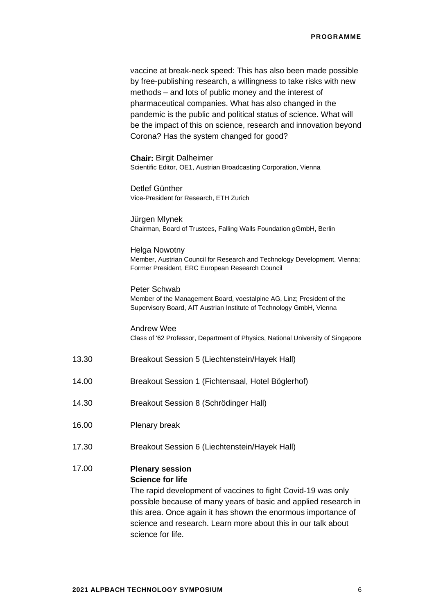vaccine at break-neck speed: This has also been made possible by free-publishing research, a willingness to take risks with new methods – and lots of public money and the interest of pharmaceutical companies. What has also changed in the pandemic is the public and political status of science. What will be the impact of this on science, research and innovation beyond Corona? Has the system changed for good?

**Chair:** Birgit Dalheimer Scientific Editor, OE1, Austrian Broadcasting Corporation, Vienna

Detlef Günther Vice-President for Research, ETH Zurich

Jürgen Mlynek Chairman, Board of Trustees, Falling Walls Foundation gGmbH, Berlin

Helga Nowotny Member, Austrian Council for Research and Technology Development, Vienna; Former President, ERC European Research Council

Peter Schwab Member of the Management Board, voestalpine AG, Linz; President of the Supervisory Board, AIT Austrian Institute of Technology GmbH, Vienna

Andrew Wee Class of '62 Professor, Department of Physics, National University of Singapore

- 13.30 Breakout Session 5 (Liechtenstein/Hayek Hall)
- 14.00 Breakout Session 1 (Fichtensaal, Hotel Böglerhof)
- 14.30 Breakout Session 8 (Schrödinger Hall)
- 16.00 Plenary break
- 17.30 Breakout Session 6 (Liechtenstein/Hayek Hall)

## 17.00 **Plenary session Science for life**

The rapid development of vaccines to fight Covid-19 was only possible because of many years of basic and applied research in this area. Once again it has shown the enormous importance of science and research. Learn more about this in our talk about science for life.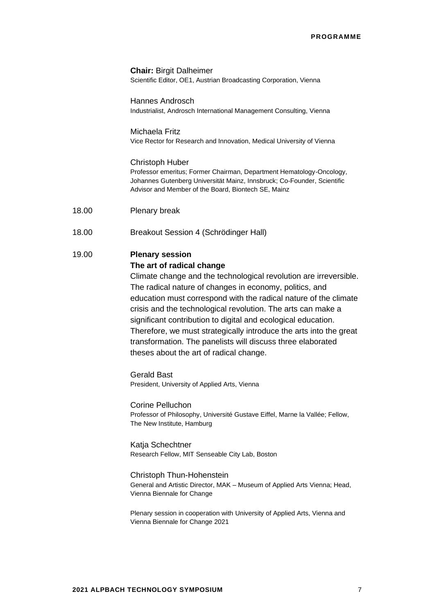#### **Chair:** Birgit Dalheimer

Scientific Editor, OE1, Austrian Broadcasting Corporation, Vienna

Hannes Androsch Industrialist, Androsch International Management Consulting, Vienna

Michaela Fritz Vice Rector for Research and Innovation, Medical University of Vienna

#### Christoph Huber

Professor emeritus; Former Chairman, Department Hematology-Oncology, Johannes Gutenberg Universität Mainz, Innsbruck; Co-Founder, Scientific Advisor and Member of the Board, Biontech SE, Mainz

- 18.00 Plenary break
- 18.00 Breakout Session 4 (Schrödinger Hall)

## 19.00 **Plenary session**

#### **The art of radical change**

Climate change and the technological revolution are irreversible. The radical nature of changes in economy, politics, and education must correspond with the radical nature of the climate crisis and the technological revolution. The arts can make a significant contribution to digital and ecological education. Therefore, we must strategically introduce the arts into the great transformation. The panelists will discuss three elaborated theses about the art of radical change.

Gerald Bast President, University of Applied Arts, Vienna

Corine Pelluchon Professor of Philosophy, Université Gustave Eiffel, Marne la Vallée; Fellow, The New Institute, Hamburg

Katja Schechtner Research Fellow, MIT Senseable City Lab, Boston

#### Christoph Thun-Hohenstein

General and Artistic Director, MAK – Museum of Applied Arts Vienna; Head, Vienna Biennale for Change

Plenary session in cooperation with University of Applied Arts, Vienna and Vienna Biennale for Change 2021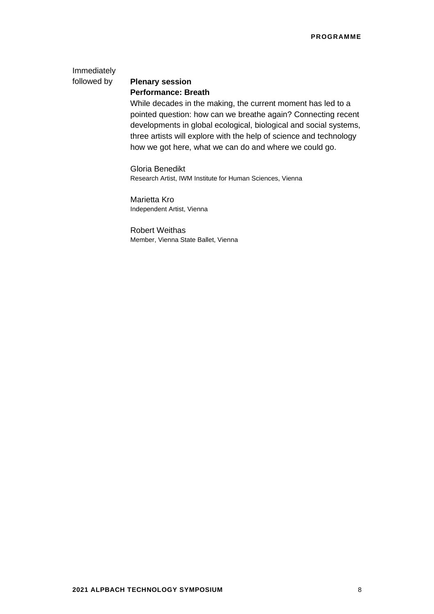Immediately

## followed by **Plenary session Performance: Breath**

While decades in the making, the current moment has led to a pointed question: how can we breathe again? Connecting recent developments in global ecological, biological and social systems, three artists will explore with the help of science and technology how we got here, what we can do and where we could go.

Gloria Benedikt Research Artist, IWM Institute for Human Sciences, Vienna

Marietta Kro Independent Artist, Vienna

Robert Weithas Member, Vienna State Ballet, Vienna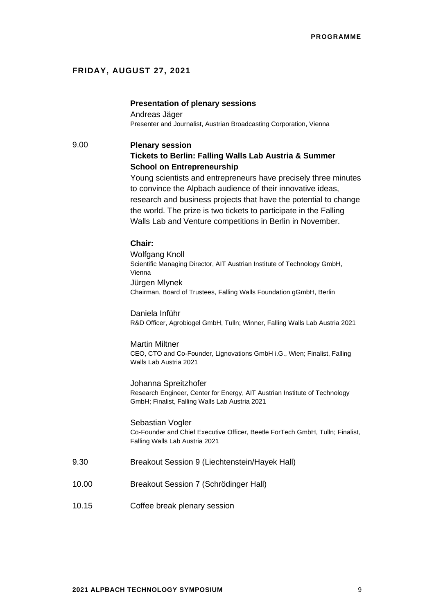## **FRIDAY, AUGUST 27, 2021**

## **Presentation of plenary sessions**

Andreas Jäger Presenter and Journalist, Austrian Broadcasting Corporation, Vienna

# 9.00 **Plenary session Tickets to Berlin: Falling Walls Lab Austria & Summer School on Entrepreneurship** Young scientists and entrepreneurs have precisely three minutes to convince the Alpbach audience of their innovative ideas, research and business projects that have the potential to change the world. The prize is two tickets to participate in the Falling Walls Lab and Venture competitions in Berlin in November. **Chair:** Wolfgang Knoll Scientific Managing Director, AIT Austrian Institute of Technology GmbH, Vienna Jürgen Mlynek Chairman, Board of Trustees, Falling Walls Foundation gGmbH, Berlin Daniela Inführ R&D Officer, Agrobiogel GmbH, Tulln; Winner, Falling Walls Lab Austria 2021 Martin Miltner CEO, CTO and Co-Founder, Lignovations GmbH i.G., Wien; Finalist, Falling Walls Lab Austria 2021 Johanna Spreitzhofer Research Engineer, Center for Energy, AIT Austrian Institute of Technology GmbH; Finalist, Falling Walls Lab Austria 2021 Sebastian Vogler Co-Founder and Chief Executive Officer, Beetle ForTech GmbH, Tulln; Finalist, Falling Walls Lab Austria 2021 9.30 Breakout Session 9 (Liechtenstein/Hayek Hall) 10.00 Breakout Session 7 (Schrödinger Hall) 10.15 Coffee break plenary session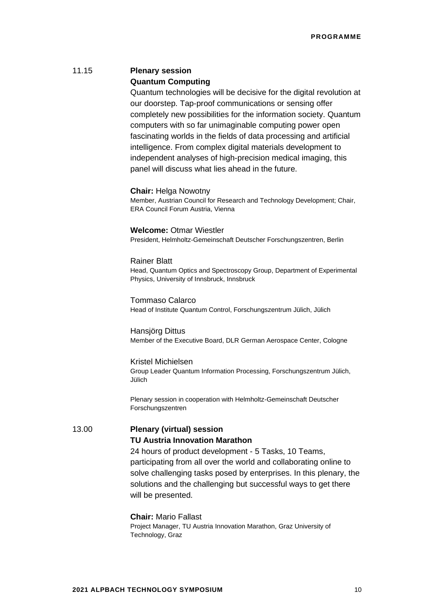## 11.15 **Plenary session Quantum Computing**

Quantum technologies will be decisive for the digital revolution at our doorstep. Tap-proof communications or sensing offer completely new possibilities for the information society. Quantum computers with so far unimaginable computing power open fascinating worlds in the fields of data processing and artificial intelligence. From complex digital materials development to independent analyses of high-precision medical imaging, this panel will discuss what lies ahead in the future.

## **Chair:** Helga Nowotny

Member, Austrian Council for Research and Technology Development; Chair, ERA Council Forum Austria, Vienna

## **Welcome:** Otmar Wiestler

President, Helmholtz-Gemeinschaft Deutscher Forschungszentren, Berlin

## Rainer Blatt

Head, Quantum Optics and Spectroscopy Group, Department of Experimental Physics, University of Innsbruck, Innsbruck

## Tommaso Calarco

Head of Institute Quantum Control, Forschungszentrum Jülich, Jülich

#### Hansjörg Dittus

Member of the Executive Board, DLR German Aerospace Center, Cologne

## Kristel Michielsen

Group Leader Quantum Information Processing, Forschungszentrum Jülich, Jülich

Plenary session in cooperation with Helmholtz-Gemeinschaft Deutscher Forschungszentren

## 13.00 **Plenary (virtual) session TU Austria Innovation Marathon**

24 hours of product development - 5 Tasks, 10 Teams, participating from all over the world and collaborating online to solve challenging tasks posed by enterprises. In this plenary, the solutions and the challenging but successful ways to get there will be presented.

## **Chair:** Mario Fallast

Project Manager, TU Austria Innovation Marathon, Graz University of Technology, Graz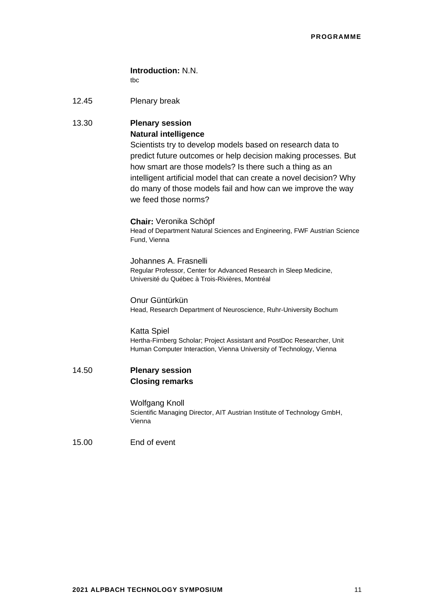## **Introduction:** N.N. tbc

12.45 Plenary break

## 13.30 **Plenary session Natural intelligence**

Scientists try to develop models based on research data to predict future outcomes or help decision making processes. But how smart are those models? Is there such a thing as an intelligent artificial model that can create a novel decision? Why do many of those models fail and how can we improve the way we feed those norms?

## **Chair:** Veronika Schöpf

Head of Department Natural Sciences and Engineering, FWF Austrian Science Fund, Vienna

Johannes A. Frasnelli Regular Professor, Center for Advanced Research in Sleep Medicine, Université du Québec à Trois-Rivières, Montréal

## Onur Güntürkün

Head, Research Department of Neuroscience, Ruhr-University Bochum

Katta Spiel Hertha-Firnberg Scholar; Project Assistant and PostDoc Researcher, Unit Human Computer Interaction, Vienna University of Technology, Vienna

## 14.50 **Plenary session Closing remarks**

Wolfgang Knoll Scientific Managing Director, AIT Austrian Institute of Technology GmbH, Vienna

15.00 End of event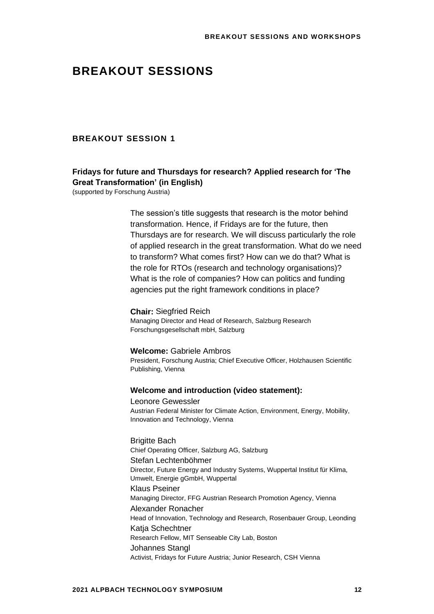## **BREAKOUT SESSION 1**

## **Fridays for future and Thursdays for research? Applied research for 'The Great Transformation' (in English)**

(supported by Forschung Austria)

The session's title suggests that research is the motor behind transformation. Hence, if Fridays are for the future, then Thursdays are for research. We will discuss particularly the role of applied research in the great transformation. What do we need to transform? What comes first? How can we do that? What is the role for RTOs (research and technology organisations)? What is the role of companies? How can politics and funding agencies put the right framework conditions in place?

#### **Chair:** Siegfried Reich

Managing Director and Head of Research, Salzburg Research Forschungsgesellschaft mbH, Salzburg

## **Welcome:** Gabriele Ambros

President, Forschung Austria; Chief Executive Officer, Holzhausen Scientific Publishing, Vienna

## **Welcome and introduction (video statement):**

Leonore Gewessler Austrian Federal Minister for Climate Action, Environment, Energy, Mobility, Innovation and Technology, Vienna

Brigitte Bach Chief Operating Officer, Salzburg AG, Salzburg Stefan Lechtenböhmer Director, Future Energy and Industry Systems, Wuppertal Institut für Klima, Umwelt, Energie gGmbH, Wuppertal Klaus Pseiner Managing Director, FFG Austrian Research Promotion Agency, Vienna Alexander Ronacher Head of Innovation, Technology and Research, Rosenbauer Group, Leonding Katja Schechtner Research Fellow, MIT Senseable City Lab, Boston Johannes Stangl Activist, Fridays for Future Austria; Junior Research, CSH Vienna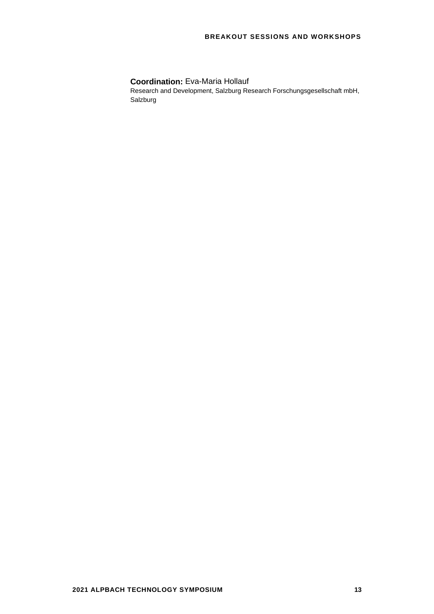## **Coordination:** Eva-Maria Hollauf

Research and Development, Salzburg Research Forschungsgesellschaft mbH, Salzburg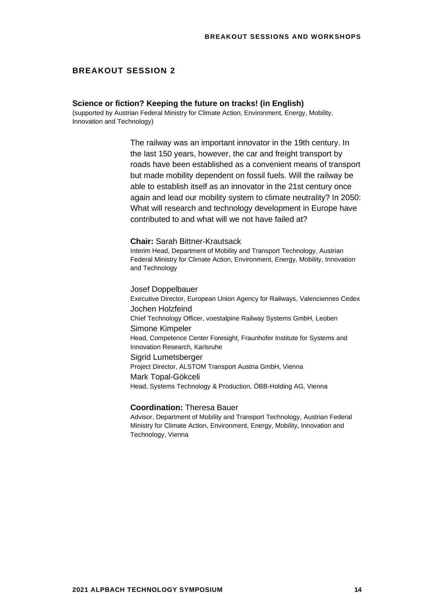## **Science or fiction? Keeping the future on tracks! (in English)**

(supported by Austrian Federal Ministry for Climate Action, Environment, Energy, Mobility, Innovation and Technology)

> The railway was an important innovator in the 19th century. In the last 150 years, however, the car and freight transport by roads have been established as a convenient means of transport but made mobility dependent on fossil fuels. Will the railway be able to establish itself as an innovator in the 21st century once again and lead our mobility system to climate neutrality? In 2050: What will research and technology development in Europe have contributed to and what will we not have failed at?

### **Chair:** Sarah Bittner-Krautsack

Interim Head, Department of Mobility and Transport Technology, Austrian Federal Ministry for Climate Action, Environment, Energy, Mobility, Innovation and Technology

Josef Doppelbauer Executive Director, European Union Agency for Railways, Valenciennes Cedex Jochen Holzfeind Chief Technology Officer, voestalpine Railway Systems GmbH, Leoben Simone Kimpeler Head, Competence Center Foresight, Fraunhofer Institute for Systems and Innovation Research, Karlsruhe Sigrid Lumetsberger Project Director, ALSTOM Transport Austria GmbH, Vienna Mark Topal-Gökceli Head, Systems Technology & Production, ÖBB-Holding AG, Vienna

#### **Coordination:** Theresa Bauer

Advisor, Department of Mobility and Transport Technology, Austrian Federal Ministry for Climate Action, Environment, Energy, Mobility, Innovation and Technology, Vienna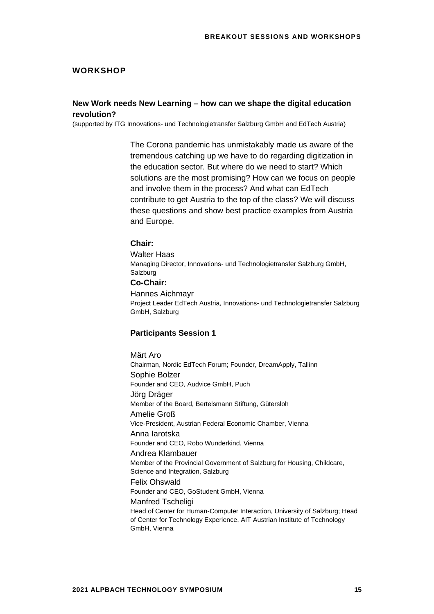## **WORKSHOP**

## **New Work needs New Learning – how can we shape the digital education revolution?**

(supported by ITG Innovations- und Technologietransfer Salzburg GmbH and EdTech Austria)

The Corona pandemic has unmistakably made us aware of the tremendous catching up we have to do regarding digitization in the education sector. But where do we need to start? Which solutions are the most promising? How can we focus on people and involve them in the process? And what can EdTech contribute to get Austria to the top of the class? We will discuss these questions and show best practice examples from Austria and Europe.

## **Chair:**

Walter Haas Managing Director, Innovations- und Technologietransfer Salzburg GmbH, Salzburg **Co-Chair:** Hannes Aichmayr Project Leader EdTech Austria, Innovations- und Technologietransfer Salzburg GmbH, Salzburg

## **Participants Session 1**

Märt Aro Chairman, Nordic EdTech Forum; Founder, DreamApply, Tallinn Sophie Bolzer Founder and CEO, Audvice GmbH, Puch Jörg Dräger Member of the Board, Bertelsmann Stiftung, Gütersloh Amelie Groß Vice-President, Austrian Federal Economic Chamber, Vienna Anna Iarotska Founder and CEO, Robo Wunderkind, Vienna Andrea Klambauer Member of the Provincial Government of Salzburg for Housing, Childcare, Science and Integration, Salzburg Felix Ohswald Founder and CEO, GoStudent GmbH, Vienna Manfred Tscheligi Head of Center for Human-Computer Interaction, University of Salzburg; Head of Center for Technology Experience, AIT Austrian Institute of Technology GmbH, Vienna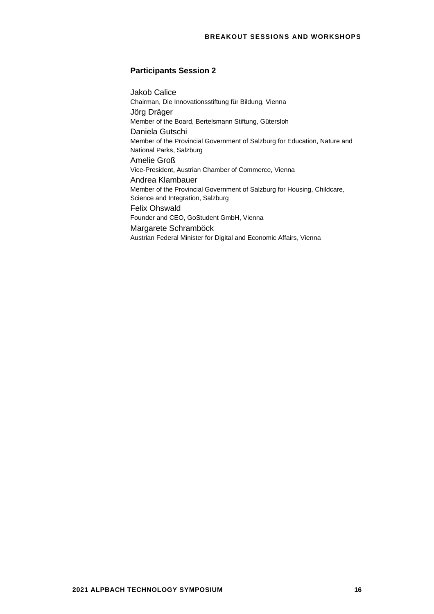## **Participants Session 2**

Jakob Calice Chairman, Die Innovationsstiftung für Bildung, Vienna Jörg Dräger Member of the Board, Bertelsmann Stiftung, Gütersloh Daniela Gutschi Member of the Provincial Government of Salzburg for Education, Nature and National Parks, Salzburg Amelie Groß Vice-President, Austrian Chamber of Commerce, Vienna Andrea Klambauer Member of the Provincial Government of Salzburg for Housing, Childcare, Science and Integration, Salzburg Felix Ohswald Founder and CEO, GoStudent GmbH, Vienna Margarete Schramböck Austrian Federal Minister for Digital and Economic Affairs, Vienna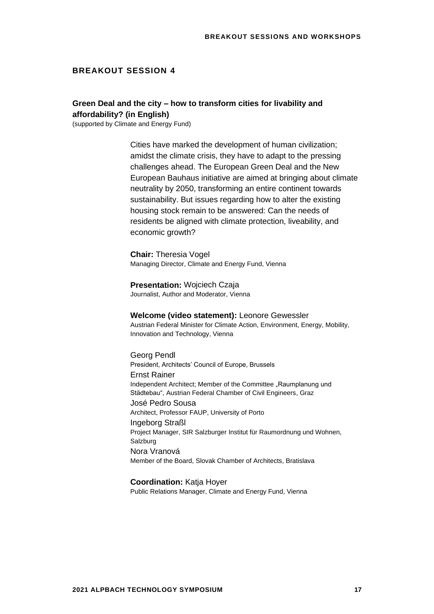## **Green Deal and the city – how to transform cities for livability and affordability? (in English)**

(supported by Climate and Energy Fund)

Cities have marked the development of human civilization; amidst the climate crisis, they have to adapt to the pressing challenges ahead. The European Green Deal and the New European Bauhaus initiative are aimed at bringing about climate neutrality by 2050, transforming an entire continent towards sustainability. But issues regarding how to alter the existing housing stock remain to be answered: Can the needs of residents be aligned with climate protection, liveability, and economic growth?

**Chair:** Theresia Vogel Managing Director, Climate and Energy Fund, Vienna

**Presentation:** Wojciech Czaja Journalist, Author and Moderator, Vienna

### **Welcome (video statement):** Leonore Gewessler

Austrian Federal Minister for Climate Action, Environment, Energy, Mobility, Innovation and Technology, Vienna

Georg Pendl President, Architects' Council of Europe, Brussels Ernst Rainer Independent Architect; Member of the Committee "Raumplanung und Städtebau", Austrian Federal Chamber of Civil Engineers, Graz José Pedro Sousa Architect, Professor FAUP, University of Porto Ingeborg Straßl Project Manager, SIR Salzburger Institut für Raumordnung und Wohnen, **Salzburg** Nora Vranová Member of the Board, Slovak Chamber of Architects, Bratislava

**Coordination:** Katja Hoyer Public Relations Manager, Climate and Energy Fund, Vienna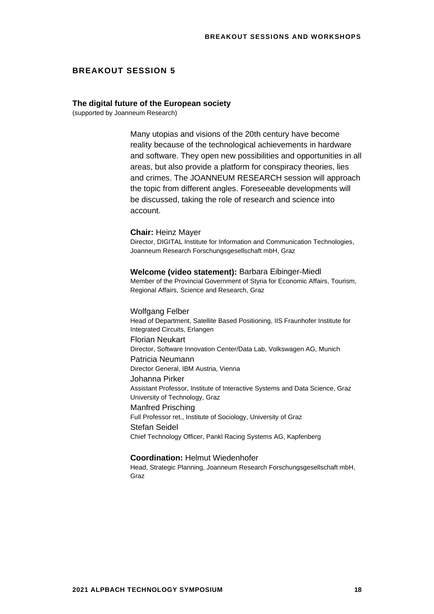## **The digital future of the European society**

(supported by Joanneum Research)

Many utopias and visions of the 20th century have become reality because of the technological achievements in hardware and software. They open new possibilities and opportunities in all areas, but also provide a platform for conspiracy theories, lies and crimes. The JOANNEUM RESEARCH session will approach the topic from different angles. Foreseeable developments will be discussed, taking the role of research and science into account.

#### **Chair:** Heinz Mayer

Director, DIGITAL Institute for Information and Communication Technologies, Joanneum Research Forschungsgesellschaft mbH, Graz

#### **Welcome (video statement):** Barbara Eibinger-Miedl

Member of the Provincial Government of Styria for Economic Affairs, Tourism, Regional Affairs, Science and Research, Graz

#### Wolfgang Felber

Head of Department, Satellite Based Positioning, IIS Fraunhofer Institute for Integrated Circuits, Erlangen Florian Neukart Director, Software Innovation Center/Data Lab, Volkswagen AG, Munich Patricia Neumann Director General, IBM Austria, Vienna Johanna Pirker Assistant Professor, Institute of Interactive Systems and Data Science, Graz University of Technology, Graz Manfred Prisching Full Professor ret., Institute of Sociology, University of Graz Stefan Seidel Chief Technology Officer, Pankl Racing Systems AG, Kapfenberg

#### **Coordination:** Helmut Wiedenhofer

Head, Strategic Planning, Joanneum Research Forschungsgesellschaft mbH, Graz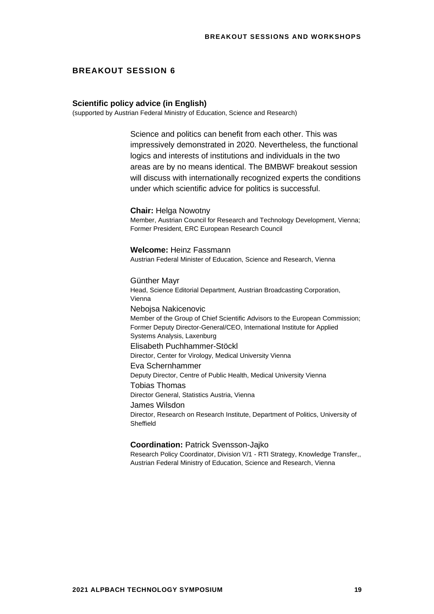## **Scientific policy advice (in English)**

(supported by Austrian Federal Ministry of Education, Science and Research)

Science and politics can benefit from each other. This was impressively demonstrated in 2020. Nevertheless, the functional logics and interests of institutions and individuals in the two areas are by no means identical. The BMBWF breakout session will discuss with internationally recognized experts the conditions under which scientific advice for politics is successful.

#### **Chair:** Helga Nowotny

Member, Austrian Council for Research and Technology Development, Vienna; Former President, ERC European Research Council

### **Welcome:** Heinz Fassmann

Austrian Federal Minister of Education, Science and Research, Vienna

#### Günther Mayr

Head, Science Editorial Department, Austrian Broadcasting Corporation, Vienna Nebojsa Nakicenovic Member of the Group of Chief Scientific Advisors to the European Commission; Former Deputy Director-General/CEO, International Institute for Applied Systems Analysis, Laxenburg Elisabeth Puchhammer-Stöckl Director, Center for Virology, Medical University Vienna Eva Schernhammer Deputy Director, Centre of Public Health, Medical University Vienna Tobias Thomas Director General, Statistics Austria, Vienna James Wilsdon Director, Research on Research Institute, Department of Politics, University of Sheffield

#### **Coordination:** Patrick Svensson-Jajko

Research Policy Coordinator, Division V/1 - RTI Strategy, Knowledge Transfer,, Austrian Federal Ministry of Education, Science and Research, Vienna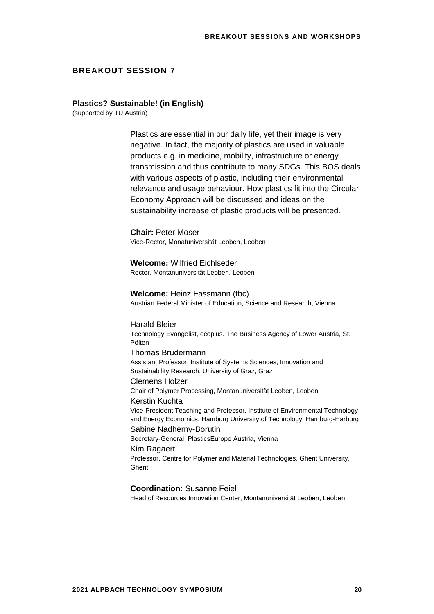## **Plastics? Sustainable! (in English)**

(supported by TU Austria)

Plastics are essential in our daily life, yet their image is very negative. In fact, the majority of plastics are used in valuable products e.g. in medicine, mobility, infrastructure or energy transmission and thus contribute to many SDGs. This BOS deals with various aspects of plastic, including their environmental relevance and usage behaviour. How plastics fit into the Circular Economy Approach will be discussed and ideas on the sustainability increase of plastic products will be presented.

**Chair:** Peter Moser Vice-Rector, Monatuniversität Leoben, Leoben

**Welcome:** Wilfried Eichlseder Rector, Montanuniversität Leoben, Leoben

**Welcome:** Heinz Fassmann (tbc) Austrian Federal Minister of Education, Science and Research, Vienna

Harald Bleier Technology Evangelist, ecoplus. The Business Agency of Lower Austria, St. Pölten Thomas Brudermann Assistant Professor, Institute of Systems Sciences, Innovation and Sustainability Research, University of Graz, Graz Clemens Holzer Chair of Polymer Processing, Montanuniversität Leoben, Leoben Kerstin Kuchta Vice-President Teaching and Professor, Institute of Environmental Technology and Energy Economics, Hamburg University of Technology, Hamburg-Harburg Sabine Nadherny-Borutin Secretary-General, PlasticsEurope Austria, Vienna Kim Ragaert Professor, Centre for Polymer and Material Technologies, Ghent University, **Ghent** 

**Coordination:** Susanne Feiel Head of Resources Innovation Center, Montanuniversität Leoben, Leoben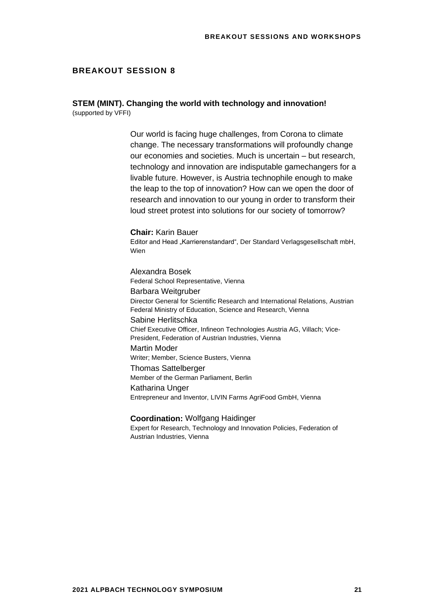## **STEM (MINT). Changing the world with technology and innovation!** (supported by VFFI)

Our world is facing huge challenges, from Corona to climate change. The necessary transformations will profoundly change our economies and societies. Much is uncertain – but research, technology and innovation are indisputable gamechangers for a livable future. However, is Austria technophile enough to make the leap to the top of innovation? How can we open the door of research and innovation to our young in order to transform their loud street protest into solutions for our society of tomorrow?

## **Chair:** Karin Bauer

Editor and Head "Karrierenstandard", Der Standard Verlagsgesellschaft mbH, Wien

Alexandra Bosek Federal School Representative, Vienna Barbara Weitgruber Director General for Scientific Research and International Relations, Austrian Federal Ministry of Education, Science and Research, Vienna Sabine Herlitschka Chief Executive Officer, Infineon Technologies Austria AG, Villach; Vice-President, Federation of Austrian Industries, Vienna Martin Moder Writer; Member, Science Busters, Vienna Thomas Sattelberger Member of the German Parliament, Berlin Katharina Unger Entrepreneur and Inventor, LIVIN Farms AgriFood GmbH, Vienna

#### **Coordination:** Wolfgang Haidinger

Expert for Research, Technology and Innovation Policies, Federation of Austrian Industries, Vienna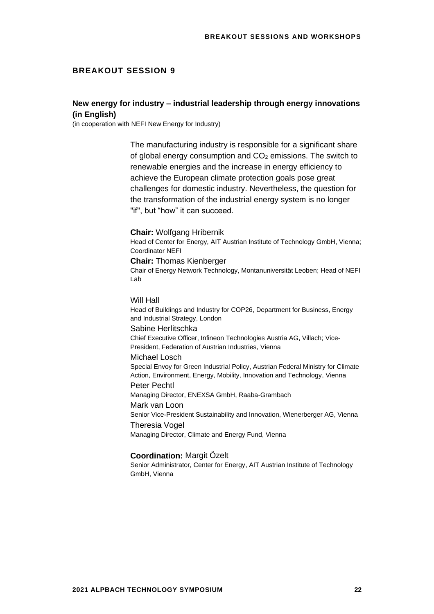## **New energy for industry – industrial leadership through energy innovations (in English)**

(in cooperation with NEFI New Energy for Industry)

The manufacturing industry is responsible for a significant share of global energy consumption and  $CO<sub>2</sub>$  emissions. The switch to renewable energies and the increase in energy efficiency to achieve the European climate protection goals pose great challenges for domestic industry. Nevertheless, the question for the transformation of the industrial energy system is no longer "if", but "how" it can succeed.

**Chair:** Wolfgang Hribernik Head of Center for Energy, AIT Austrian Institute of Technology GmbH, Vienna; Coordinator NEFI **Chair:** Thomas Kienberger Chair of Energy Network Technology, Montanuniversität Leoben; Head of NEFI Lab

Will Hall

Head of Buildings and Industry for COP26, Department for Business, Energy and Industrial Strategy, London Sabine Herlitschka Chief Executive Officer, Infineon Technologies Austria AG, Villach; Vice-President, Federation of Austrian Industries, Vienna Michael Losch Special Envoy for Green Industrial Policy, Austrian Federal Ministry for Climate Action, Environment, Energy, Mobility, Innovation and Technology, Vienna Peter Pechtl Managing Director, ENEXSA GmbH, Raaba-Grambach Mark van Loon Senior Vice-President Sustainability and Innovation, Wienerberger AG, Vienna Theresia Vogel Managing Director, Climate and Energy Fund, Vienna

#### **Coordination:** Margit Özelt

Senior Administrator, Center for Energy, AIT Austrian Institute of Technology GmbH, Vienna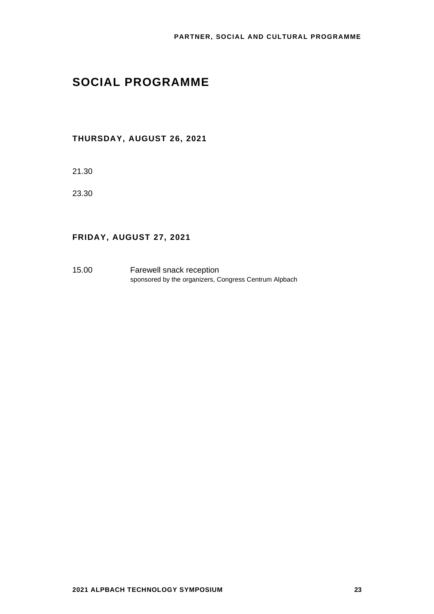# **SOCIAL PROGRAMME**

## **THURSDAY, AUGUST 26, 2021**

21.30

23.30

## **FRIDAY, AUGUST 27, 2021**

15.00 Farewell snack reception sponsored by the organizers, Congress Centrum Alpbach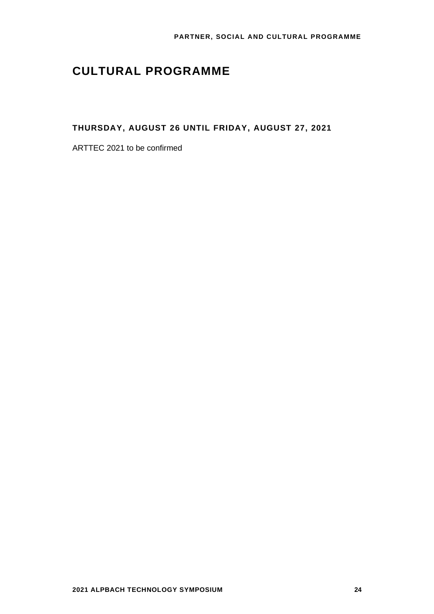# **CULTURAL PROGRAMME**

**THURSDAY, AUGUST 26 UNTIL FRIDAY, AUGUST 27, 2021**

ARTTEC 2021 to be confirmed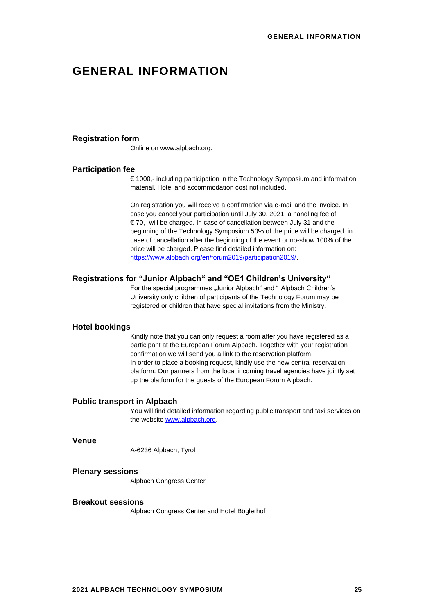# **GENERAL INFORMATION**

#### **Registration form**

Online on www.alpbach.org.

#### **Participation fee**

€ 1000,- including participation in the Technology Symposium and information material. Hotel and accommodation cost not included.

On registration you will receive a confirmation via e-mail and the invoice. In case you cancel your participation until July 30, 2021, a handling fee of € 70,- will be charged. In case of cancellation between July 31 and the beginning of the Technology Symposium 50% of the price will be charged, in case of cancellation after the beginning of the event or no-show 100% of the price will be charged. Please find detailed information on: [https://www.alpbach.org/en/forum2019/participation2019/.](https://www.alpbach.org/en/forum2019/participation2019/)

## **Registrations for "Junior Alpbach" and "OE1 Children's University"**

For the special programmes "Junior Alpbach" and " Alpbach Children's University only children of participants of the Technology Forum may be registered or children that have special invitations from the Ministry.

#### **Hotel bookings**

Kindly note that you can only request a room after you have registered as a participant at the European Forum Alpbach. Together with your registration confirmation we will send you a link to the reservation platform. In order to place a booking request, kindly use the new central reservation platform. Our partners from the local incoming travel agencies have jointly set up the platform for the guests of the European Forum Alpbach.

#### **Public transport in Alpbach**

You will find detailed information regarding public transport and taxi services on the websit[e www.alpbach.org.](http://www.alpbach.org/)

## **Venue**

A-6236 Alpbach, Tyrol

#### **Plenary sessions**

Alpbach Congress Center

#### **Breakout sessions**

Alpbach Congress Center and Hotel Böglerhof